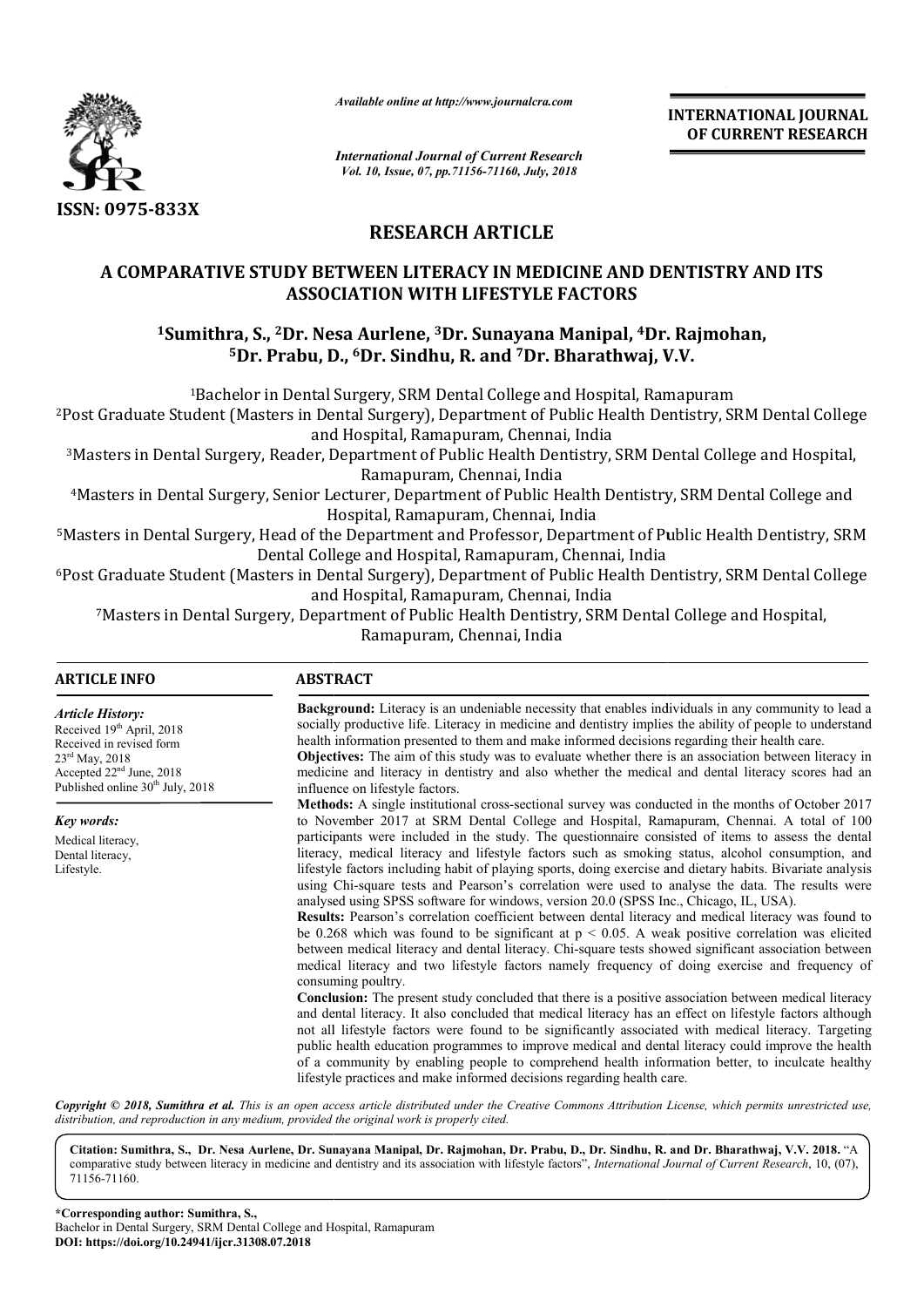

*Available online at http://www.journalcra.com*

**INTERNATIONAL JOURNAL OF CURRENT RESEARCH**

*International Journal of Current Research Vol. 10, Issue, 07, pp.71156-71160, July, 2018*

# **RESEARCH ARTICLE**

# **A COMPARATIVE STUDY BETWEEN LITERACY IN MEDICINE AND DENTISTRY AND ITS ASSOCIATION WITH LIFESTYLE FACTORS**

# <sup>1</sup>Sumithra, S., <sup>2</sup>Dr. Nesa Aurlene, <sup>3</sup>Dr. Sunayana Manipal, <sup>4</sup>Dr. Rajmohan, **5Dr. Prabu, D D., 6Dr. Sindhu, R. and 7Dr. Bharathwaj, V V.V.**

<sup>1</sup>Bachelor in Dental Surgery, SRM Dental College and Hospital, Ramapuram

2Post Graduate Student (Masters in Dental Surgery), Department of Public Health Dentistry, SRM Dental College Bachelor Post and Hospital, Ramapuram, Chennai, India

3Masters in Dental Surgery, Reader, Department of Public Health Dentistry, SRM Dental College and Hospital, Masters Ramapuram, Chennai, India Masters in Dental Surgery, Reader, Department of Public Health Dentistry, SRM Dental College and Hospital, ??<br>Ramapuram, Chennai, India<br>Masters in Dental Surgery, Senior Lecturer, Department of Public Health Dentistry, SRM

Hospital, Ramapuram, Chennai, India

5Masters in Dental Surgery, Head of the Department and Professor, Department of Public Health Dentistry, SRM Dental College and Hospital, Ramapuram, Chennai, India <sup>4</sup>Masters in Dental Surgery, Senior Lecturer, Department of Public Health Dentistry, SRM Dental College and<br>Hospital, Ramapuram, Chennai, India<br>Masters in Dental Surgery, Head of the Department and Professor, Department o

<sup>6</sup>Post Graduate Student (Masters in Dental Surgery), Department of Public Health Dentistry, SRM Dental College and Hospital, Ramapuram, Chennai, India Masters in Dental Surgery, Head of the Department and Professor, Department of Public Heannel Dental College and Hospital, Ramapuram, Chennai, India<br>Post Graduate Student (Masters in Dental Surgery), Department of Public H

7Masters in Dental Surgery, Department of Public Health Dentistry, SRM Dental College and Hospital, Masters Ramapuram, Chennai, India

| <b>ARTICLE INFO</b>                                                                                                                                                                          | <b>ABSTRACT</b>                                                                                                                                                                                                                                                                                                                                                                                                                                                                                                                                                                                                                                                                                                                                                                                                                                                                                                                                                                                                                                                                                                                                                                                                                                                                                                                                                                                                                                                                                                                                                                                  |
|----------------------------------------------------------------------------------------------------------------------------------------------------------------------------------------------|--------------------------------------------------------------------------------------------------------------------------------------------------------------------------------------------------------------------------------------------------------------------------------------------------------------------------------------------------------------------------------------------------------------------------------------------------------------------------------------------------------------------------------------------------------------------------------------------------------------------------------------------------------------------------------------------------------------------------------------------------------------------------------------------------------------------------------------------------------------------------------------------------------------------------------------------------------------------------------------------------------------------------------------------------------------------------------------------------------------------------------------------------------------------------------------------------------------------------------------------------------------------------------------------------------------------------------------------------------------------------------------------------------------------------------------------------------------------------------------------------------------------------------------------------------------------------------------------------|
| <b>Article History:</b><br>Received 19th April, 2018<br>Received in revised form<br>$23^{\text{rd}}$ May, 2018<br>Accepted 22 <sup>nd</sup> June, 2018<br>Published online $30th$ July, 2018 | <b>Background:</b> Literacy is an undeniable necessity that enables individuals in any community to lead a<br>socially productive life. Literacy in medicine and dentistry implies the ability of people to understand<br>health information presented to them and make informed decisions regarding their health care.<br><b>Objectives:</b> The aim of this study was to evaluate whether there is an association between literacy in<br>medicine and literacy in dentistry and also whether the medical and dental literacy scores had an<br>influence on lifestyle factors.                                                                                                                                                                                                                                                                                                                                                                                                                                                                                                                                                                                                                                                                                                                                                                                                                                                                                                                                                                                                                  |
|                                                                                                                                                                                              | Methods: A single institutional cross-sectional survey was conducted in the months of October 2017<br>to November 2017 at SRM Dental College and Hospital, Ramapuram, Chennai. A total of 100                                                                                                                                                                                                                                                                                                                                                                                                                                                                                                                                                                                                                                                                                                                                                                                                                                                                                                                                                                                                                                                                                                                                                                                                                                                                                                                                                                                                    |
| Key words:<br>Medical literacy,<br>Dental literacy,<br>Lifestyle.                                                                                                                            | participants were included in the study. The questionnaire consisted of items to assess the dental<br>literacy, medical literacy and lifestyle factors such as smoking status, alcohol consumption, and<br>lifestyle factors including habit of playing sports, doing exercise and dietary habits. Bivariate analysis<br>using Chi-square tests and Pearson's correlation were used to analyse the data. The results were<br>analysed using SPSS software for windows, version 20.0 (SPSS Inc., Chicago, IL, USA).<br><b>Results:</b> Pearson's correlation coefficient between dental literacy and medical literacy was found to<br>be 0.268 which was found to be significant at $p < 0.05$ . A weak positive correlation was elicited<br>between medical literacy and dental literacy. Chi-square tests showed significant association between<br>medical literacy and two lifestyle factors namely frequency of doing exercise and frequency of<br>consuming poultry.<br><b>Conclusion:</b> The present study concluded that there is a positive association between medical literacy<br>and dental literacy. It also concluded that medical literacy has an effect on lifestyle factors although<br>not all lifestyle factors were found to be significantly associated with medical literacy. Targeting<br>public health education programmes to improve medical and dental literacy could improve the health<br>of a community by enabling people to comprehend health information better, to inculcate healthy<br>lifestyle practices and make informed decisions regarding health care. |

Copyright © 2018, Sumithra et al. This is an open access article distributed under the Creative Commons Attribution License, which permits unrestricted use, *distribution, and reproduction in any medium, provided the original work is properly cited.*

Citation: Sumithra, S., Dr. Nesa Aurlene, Dr. Sunayana Manipal, Dr. Rajmohan, Dr. Prabu, D., Dr. Sindhu, R. and Dr. Bharathwaj, V.V. 2018. "A comparative study between literacy in medicine and dentistry and its association with lifestyle factors", *International Journal of Current Research*, 10, (07), 71156-71160.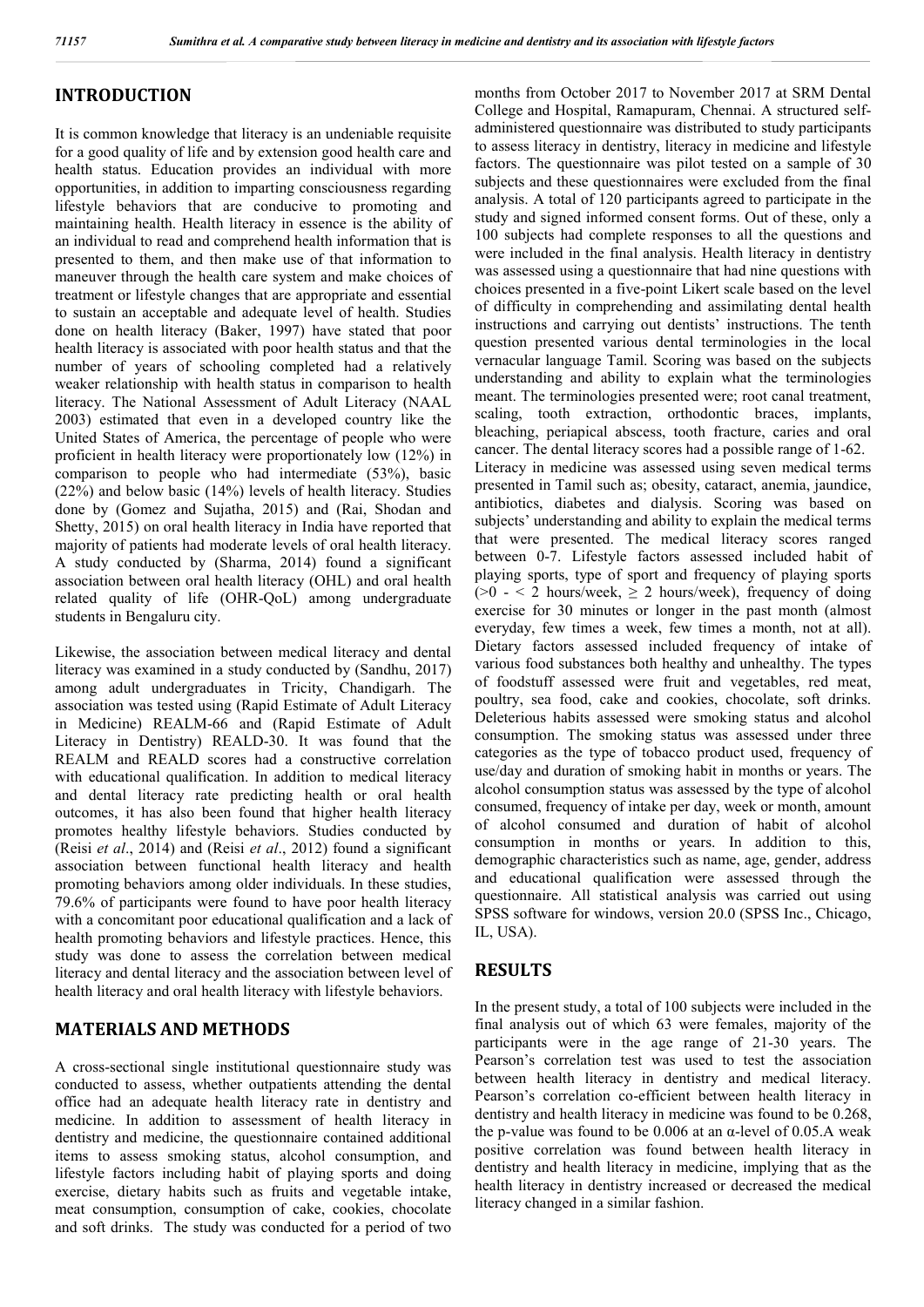## **INTRODUCTION**

It is common knowledge that literacy is an undeniable requisite for a good quality of life and by extension good health care and health status. Education provides an individual with more opportunities, in addition to imparting consciousness regarding lifestyle behaviors that are conducive to promoting and maintaining health. Health literacy in essence is the ability of an individual to read and comprehend health information that is presented to them, and then make use of that information to maneuver through the health care system and make choices of treatment or lifestyle changes that are appropriate and essential to sustain an acceptable and adequate level of health. Studies done on health literacy (Baker, 1997) have stated that poor health literacy is associated with poor health status and that the number of years of schooling completed had a relatively weaker relationship with health status in comparison to health literacy. The National Assessment of Adult Literacy (NAAL 2003) estimated that even in a developed country like the United States of America, the percentage of people who were proficient in health literacy were proportionately low (12%) in comparison to people who had intermediate (53%), basic (22%) and below basic (14%) levels of health literacy. Studies done by (Gomez and Sujatha, 2015) and (Rai, Shodan and Shetty, 2015) on oral health literacy in India have reported that majority of patients had moderate levels of oral health literacy. A study conducted by (Sharma, 2014) found a significant association between oral health literacy (OHL) and oral health related quality of life (OHR-QoL) among undergraduate students in Bengaluru city.

Likewise, the association between medical literacy and dental literacy was examined in a study conducted by (Sandhu, 2017) among adult undergraduates in Tricity, Chandigarh. The association was tested using (Rapid Estimate of Adult Literacy in Medicine) REALM-66 and (Rapid Estimate of Adult Literacy in Dentistry) REALD-30. It was found that the REALM and REALD scores had a constructive correlation with educational qualification. In addition to medical literacy and dental literacy rate predicting health or oral health outcomes, it has also been found that higher health literacy promotes healthy lifestyle behaviors. Studies conducted by (Reisi *et al*., 2014) and (Reisi *et al*., 2012) found a significant association between functional health literacy and health promoting behaviors among older individuals. In these studies, 79.6% of participants were found to have poor health literacy with a concomitant poor educational qualification and a lack of health promoting behaviors and lifestyle practices. Hence, this study was done to assess the correlation between medical literacy and dental literacy and the association between level of health literacy and oral health literacy with lifestyle behaviors.

# **MATERIALS AND METHODS**

A cross-sectional single institutional questionnaire study was conducted to assess, whether outpatients attending the dental office had an adequate health literacy rate in dentistry and medicine. In addition to assessment of health literacy in dentistry and medicine, the questionnaire contained additional items to assess smoking status, alcohol consumption, and lifestyle factors including habit of playing sports and doing exercise, dietary habits such as fruits and vegetable intake, meat consumption, consumption of cake, cookies, chocolate and soft drinks. The study was conducted for a period of two

months from October 2017 to November 2017 at SRM Dental College and Hospital, Ramapuram, Chennai. A structured selfadministered questionnaire was distributed to study participants to assess literacy in dentistry, literacy in medicine and lifestyle factors. The questionnaire was pilot tested on a sample of 30 subjects and these questionnaires were excluded from the final analysis. A total of 120 participants agreed to participate in the study and signed informed consent forms. Out of these, only a 100 subjects had complete responses to all the questions and were included in the final analysis. Health literacy in dentistry was assessed using a questionnaire that had nine questions with choices presented in a five-point Likert scale based on the level of difficulty in comprehending and assimilating dental health instructions and carrying out dentists' instructions. The tenth question presented various dental terminologies in the local vernacular language Tamil. Scoring was based on the subjects understanding and ability to explain what the terminologies meant. The terminologies presented were; root canal treatment, scaling, tooth extraction, orthodontic braces, implants, bleaching, periapical abscess, tooth fracture, caries and oral cancer. The dental literacy scores had a possible range of 1-62. Literacy in medicine was assessed using seven medical terms presented in Tamil such as; obesity, cataract, anemia, jaundice, antibiotics, diabetes and dialysis. Scoring was based on subjects' understanding and ability to explain the medical terms that were presented. The medical literacy scores ranged between 0-7. Lifestyle factors assessed included habit of playing sports, type of sport and frequency of playing sports  $(0 - 2)$  hours/week,  $\ge 2$  hours/week), frequency of doing exercise for 30 minutes or longer in the past month (almost everyday, few times a week, few times a month, not at all). Dietary factors assessed included frequency of intake of various food substances both healthy and unhealthy. The types of foodstuff assessed were fruit and vegetables, red meat, poultry, sea food, cake and cookies, chocolate, soft drinks. Deleterious habits assessed were smoking status and alcohol consumption. The smoking status was assessed under three categories as the type of tobacco product used, frequency of use/day and duration of smoking habit in months or years. The alcohol consumption status was assessed by the type of alcohol consumed, frequency of intake per day, week or month, amount of alcohol consumed and duration of habit of alcohol consumption in months or years. In addition to this, demographic characteristics such as name, age, gender, address and educational qualification were assessed through the questionnaire. All statistical analysis was carried out using SPSS software for windows, version 20.0 (SPSS Inc., Chicago, IL, USA).

# **RESULTS**

In the present study, a total of 100 subjects were included in the final analysis out of which 63 were females, majority of the participants were in the age range of 21-30 years. The Pearson's correlation test was used to test the association between health literacy in dentistry and medical literacy. Pearson's correlation co-efficient between health literacy in dentistry and health literacy in medicine was found to be 0.268, the p-value was found to be 0.006 at an  $\alpha$ -level of 0.05.A weak positive correlation was found between health literacy in dentistry and health literacy in medicine, implying that as the health literacy in dentistry increased or decreased the medical literacy changed in a similar fashion.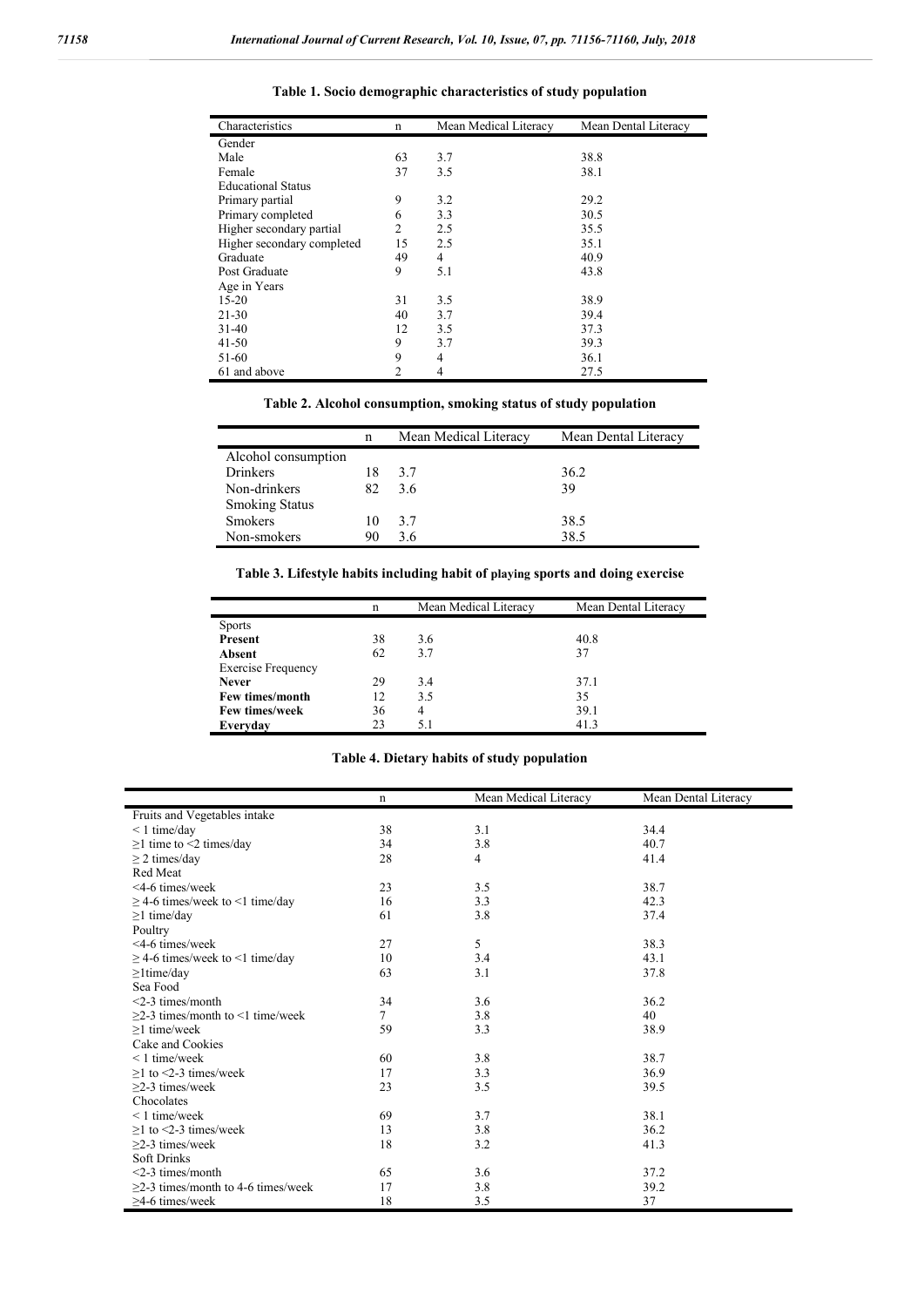| Characteristics            | $\mathbf n$    | Mean Medical Literacy | Mean Dental Literacy |  |
|----------------------------|----------------|-----------------------|----------------------|--|
| Gender                     |                |                       |                      |  |
| Male                       | 63             | 3.7                   | 38.8                 |  |
| Female                     | 37             | 3.5                   | 38.1                 |  |
| <b>Educational Status</b>  |                |                       |                      |  |
| Primary partial            | 9              | 3.2                   | 29.2                 |  |
| Primary completed          | 6              | 3.3                   | 30.5                 |  |
| Higher secondary partial   | 2              | 2.5                   | 35.5                 |  |
| Higher secondary completed | 15             | 2.5                   | 35.1                 |  |
| Graduate                   | 49             | 4                     | 40.9                 |  |
| Post Graduate              | 9              | 5.1                   | 43.8                 |  |
| Age in Years               |                |                       |                      |  |
| $15-20$                    | 31             | 3.5                   | 38.9                 |  |
| 21-30                      | 40             | 3.7                   | 39.4                 |  |
| $31-40$                    | 12             | 3.5                   | 37.3                 |  |
| $41 - 50$                  | 9              | 3.7                   | 39.3                 |  |
| 51-60                      | 9              | 4                     | 36.1                 |  |
| 61 and above               | $\mathfrak{D}$ | 4                     | 27.5                 |  |

**Table 1. Socio demographic characteristics of study population**

## **Table 2. Alcohol consumption, smoking status of study population**

|                       | n   | Mean Medical Literacy | Mean Dental Literacy |
|-----------------------|-----|-----------------------|----------------------|
| Alcohol consumption   |     |                       |                      |
| Drinkers              | 18  | 3.7                   | 36.2                 |
| Non-drinkers          | 82. | 3.6                   | 39                   |
| <b>Smoking Status</b> |     |                       |                      |
| <b>Smokers</b>        | 10  | 3.7                   | 38.5                 |
| Non-smokers           | 90  | 36                    | 38.5                 |

**Table 3. Lifestyle habits including habit of playing sports and doing exercise**

|                           | n  | Mean Medical Literacy | Mean Dental Literacy |
|---------------------------|----|-----------------------|----------------------|
| <b>Sports</b>             |    |                       |                      |
| Present                   | 38 | 3.6                   | 40.8                 |
| Absent                    | 62 | 3.7                   | 37                   |
| <b>Exercise Frequency</b> |    |                       |                      |
| <b>Never</b>              | 29 | 3.4                   | 37.1                 |
| Few times/month           | 12 | 3.5                   | 35                   |
| <b>Few times/week</b>     | 36 | 4                     | 39.1                 |
| Everyday                  | 23 | 5.1                   | 41.3                 |

#### **Table 4. Dietary habits of study population**

|                                          | n  | Mean Medical Literacy | Mean Dental Literacy |
|------------------------------------------|----|-----------------------|----------------------|
| Fruits and Vegetables intake             |    |                       |                      |
| $< 1$ time/day                           | 38 | 3.1                   | 34.4                 |
| $\geq$ 1 time to <2 times/day            | 34 | 3.8                   | 40.7                 |
| $\geq$ 2 times/day                       | 28 | 4                     | 41.4                 |
| Red Meat                                 |    |                       |                      |
| $<$ 4-6 times/week                       | 23 | 3.5                   | 38.7                 |
| $\geq$ 4-6 times/week to <1 time/day     | 16 | 3.3                   | 42.3                 |
| $\geq$ 1 time/day                        | 61 | 3.8                   | 37.4                 |
| Poultry                                  |    |                       |                      |
| <4-6 times/week                          | 27 | 5                     | 38.3                 |
| $\geq$ 4-6 times/week to <1 time/day     | 10 | 3.4                   | 43.1                 |
| $\geq$ 1 time/day                        | 63 | 3.1                   | 37.8                 |
| Sea Food                                 |    |                       |                      |
| $<$ 2-3 times/month                      | 34 | 3.6                   | 36.2                 |
| $>2-3$ times/month to $\leq 1$ time/week | 7  | 3.8                   | 40                   |
| $>1$ time/week                           | 59 | 3.3                   | 38.9                 |
| Cake and Cookies                         |    |                       |                      |
| $< 1$ time/week                          | 60 | 3.8                   | 38.7                 |
| $>1$ to $<$ 2-3 times/week               | 17 | 3.3                   | 36.9                 |
| $>2-3$ times/week                        | 23 | 3.5                   | 39.5                 |
| Chocolates                               |    |                       |                      |
| $< 1$ time/week                          | 69 | 3.7                   | 38.1                 |
| $>1$ to $<$ 2-3 times/week               | 13 | 3.8                   | 36.2                 |
| $>2-3$ times/week                        | 18 | 3.2                   | 41.3                 |
| <b>Soft Drinks</b>                       |    |                       |                      |
| <2-3 times/month                         | 65 | 3.6                   | 37.2                 |
| $\geq$ 2-3 times/month to 4-6 times/week | 17 | 3.8                   | 39.2                 |
| $\geq$ 4-6 times/week                    | 18 | 3.5                   | 37                   |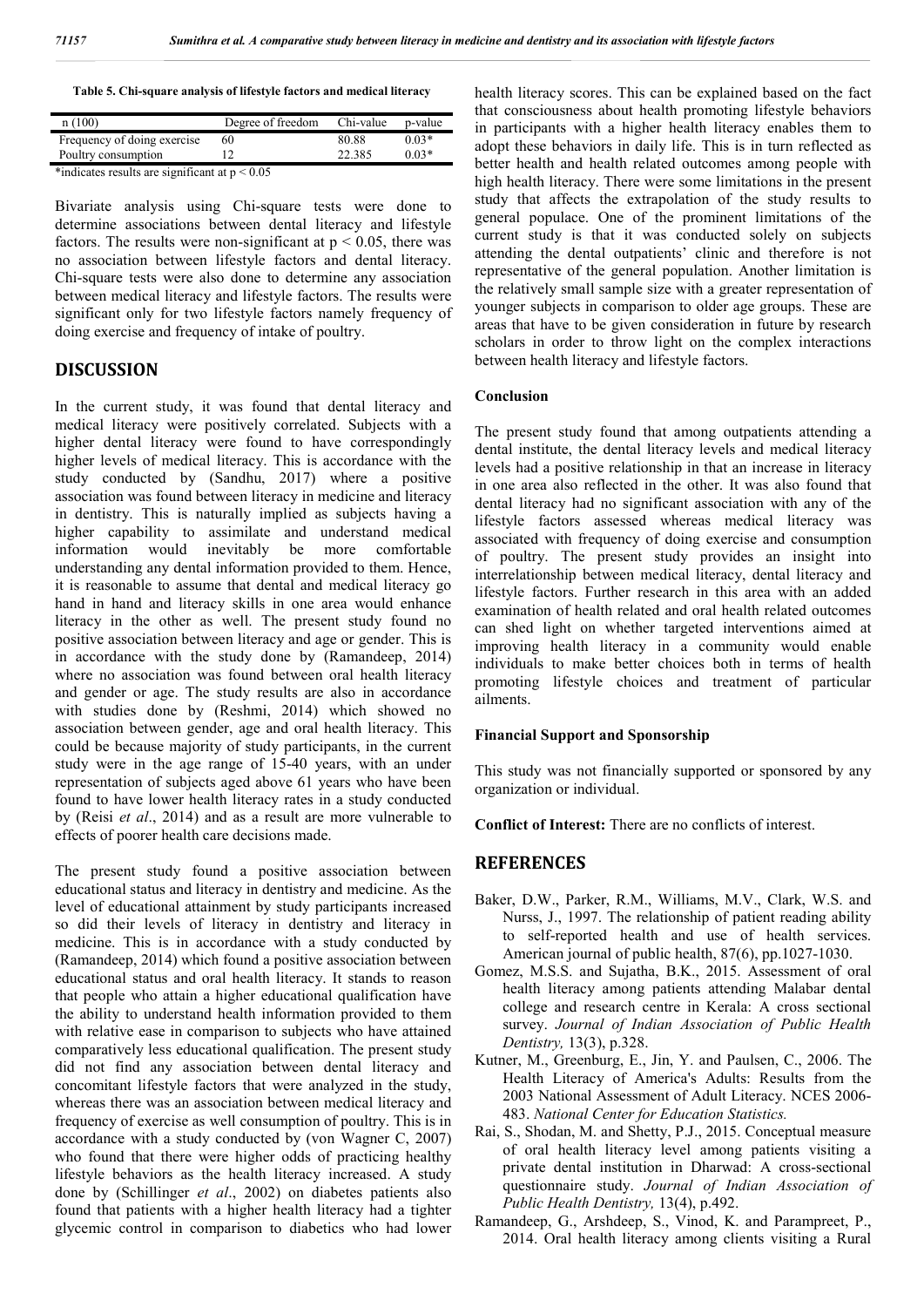|  | Table 5. Chi-square analysis of lifestyle factors and medical literacy |
|--|------------------------------------------------------------------------|
|--|------------------------------------------------------------------------|

| $0.03*$<br>80.88<br>Frequency of doing exercise<br>60 | n(100)              | Degree of freedom | Chi-value | p-value |
|-------------------------------------------------------|---------------------|-------------------|-----------|---------|
|                                                       |                     |                   |           |         |
|                                                       | Poultry consumption |                   | 22.385    | $0.03*$ |

\*indicates results are significant at  $p < 0.05$ 

Bivariate analysis using Chi-square tests were done to determine associations between dental literacy and lifestyle factors. The results were non-significant at  $p \le 0.05$ , there was no association between lifestyle factors and dental literacy. Chi-square tests were also done to determine any association between medical literacy and lifestyle factors. The results were significant only for two lifestyle factors namely frequency of doing exercise and frequency of intake of poultry.

## **DISCUSSION**

In the current study, it was found that dental literacy and medical literacy were positively correlated. Subjects with a higher dental literacy were found to have correspondingly higher levels of medical literacy. This is accordance with the study conducted by (Sandhu, 2017) where a positive association was found between literacy in medicine and literacy in dentistry. This is naturally implied as subjects having a higher capability to assimilate and understand medical information would inevitably be more comfortable understanding any dental information provided to them. Hence, it is reasonable to assume that dental and medical literacy go hand in hand and literacy skills in one area would enhance literacy in the other as well. The present study found no positive association between literacy and age or gender. This is in accordance with the study done by (Ramandeep, 2014) where no association was found between oral health literacy and gender or age. The study results are also in accordance with studies done by (Reshmi, 2014) which showed no association between gender, age and oral health literacy. This could be because majority of study participants, in the current study were in the age range of 15-40 years, with an under representation of subjects aged above 61 years who have been found to have lower health literacy rates in a study conducted by (Reisi *et al*., 2014) and as a result are more vulnerable to effects of poorer health care decisions made.

The present study found a positive association between educational status and literacy in dentistry and medicine. As the level of educational attainment by study participants increased so did their levels of literacy in dentistry and literacy in medicine. This is in accordance with a study conducted by (Ramandeep, 2014) which found a positive association between educational status and oral health literacy. It stands to reason that people who attain a higher educational qualification have the ability to understand health information provided to them with relative ease in comparison to subjects who have attained comparatively less educational qualification. The present study did not find any association between dental literacy and concomitant lifestyle factors that were analyzed in the study, whereas there was an association between medical literacy and frequency of exercise as well consumption of poultry. This is in accordance with a study conducted by (von Wagner C, 2007) who found that there were higher odds of practicing healthy lifestyle behaviors as the health literacy increased. A study done by (Schillinger *et al*., 2002) on diabetes patients also found that patients with a higher health literacy had a tighter glycemic control in comparison to diabetics who had lower

health literacy scores. This can be explained based on the fact that consciousness about health promoting lifestyle behaviors in participants with a higher health literacy enables them to adopt these behaviors in daily life. This is in turn reflected as better health and health related outcomes among people with high health literacy. There were some limitations in the present study that affects the extrapolation of the study results to general populace. One of the prominent limitations of the current study is that it was conducted solely on subjects attending the dental outpatients' clinic and therefore is not representative of the general population. Another limitation is the relatively small sample size with a greater representation of younger subjects in comparison to older age groups. These are areas that have to be given consideration in future by research scholars in order to throw light on the complex interactions between health literacy and lifestyle factors.

#### **Conclusion**

The present study found that among outpatients attending a dental institute, the dental literacy levels and medical literacy levels had a positive relationship in that an increase in literacy in one area also reflected in the other. It was also found that dental literacy had no significant association with any of the lifestyle factors assessed whereas medical literacy was associated with frequency of doing exercise and consumption of poultry. The present study provides an insight into interrelationship between medical literacy, dental literacy and lifestyle factors. Further research in this area with an added examination of health related and oral health related outcomes can shed light on whether targeted interventions aimed at improving health literacy in a community would enable individuals to make better choices both in terms of health promoting lifestyle choices and treatment of particular ailments.

#### **Financial Support and Sponsorship**

This study was not financially supported or sponsored by any organization or individual.

**Conflict of Interest:** There are no conflicts of interest.

### **REFERENCES**

- Baker, D.W., Parker, R.M., Williams, M.V., Clark, W.S. and Nurss, J., 1997. The relationship of patient reading ability to self-reported health and use of health services. American journal of public health, 87(6), pp.1027-1030.
- Gomez, M.S.S. and Sujatha, B.K., 2015. Assessment of oral health literacy among patients attending Malabar dental college and research centre in Kerala: A cross sectional survey. *Journal of Indian Association of Public Health Dentistry,* 13(3), p.328.
- Kutner, M., Greenburg, E., Jin, Y. and Paulsen, C., 2006. The Health Literacy of America's Adults: Results from the 2003 National Assessment of Adult Literacy. NCES 2006- 483. *National Center for Education Statistics.*
- Rai, S., Shodan, M. and Shetty, P.J., 2015. Conceptual measure of oral health literacy level among patients visiting a private dental institution in Dharwad: A cross-sectional questionnaire study. *Journal of Indian Association of Public Health Dentistry,* 13(4), p.492.
- Ramandeep, G., Arshdeep, S., Vinod, K. and Parampreet, P., 2014. Oral health literacy among clients visiting a Rural